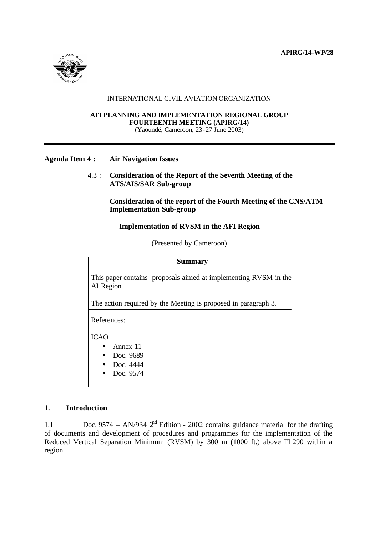

#### INTERNATIONAL CIVIL AVIATION ORGANIZATION

#### **AFI PLANNING AND IMPLEMENTATION REGIONAL GROUP FOURTEENTH MEETING (APIRG/14)** (Yaoundé, Cameroon, 23-27 June 2003)

#### **Agenda Item 4 : Air Navigation Issues**

4.3 : **Consideration of the Report of the Seventh Meeting of the ATS/AIS/SAR Sub-group**

> **Consideration of the report of the Fourth Meeting of the CNS/ATM Implementation Sub-group**

#### **Implementation of RVSM in the AFI Region**

(Presented by Cameroon)

| <b>Summary</b>                                                                |
|-------------------------------------------------------------------------------|
| This paper contains proposals aimed at implementing RVSM in the<br>AI Region. |
| The action required by the Meeting is proposed in paragraph 3.                |
| References:                                                                   |
| <b>ICAO</b>                                                                   |
| Annex 11                                                                      |
| Doc. 9689                                                                     |
| Doc. 4444                                                                     |
| Doc. 9574                                                                     |

### **1. Introduction**

1.1 Doc. 9574 – AN/934  $2<sup>nd</sup> Edition - 2002 contains guidance material for the drafting$ of documents and development of procedures and programmes for the implementation of the Reduced Vertical Separation Minimum (RVSM) by 300 m (1000 ft.) above FL290 within a region.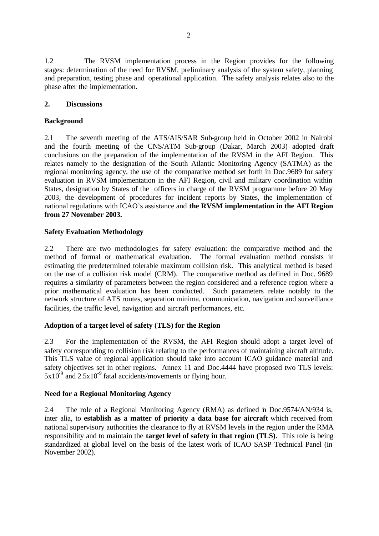1.2 The RVSM implementation process in the Region provides for the following stages: determination of the need for RVSM, preliminary analysis of the system safety, planning and preparation, testing phase and operational application. The safety analysis relates also to the phase after the implementation.

## **2. Discussions**

### **Background**

2.1 The seventh meeting of the ATS/AIS/SAR Sub-group held in October 2002 in Nairobi and the fourth meeting of the CNS/ATM Sub-group (Dakar, March 2003) adopted draft conclusions on the preparation of the implementation of the RVSM in the AFI Region. This relates namely to the designation of the South Atlantic Monitoring Agency (SATMA) as the regional monitoring agency, the use of the comparative method set forth in Doc.9689 for safety evaluation in RVSM implementation in the AFI Region, civil and military coordination within States, designation by States of the officers in charge of the RVSM programme before 20 May 2003, the development of procedures for incident reports by States, the implementation of national regulations with ICAO's assistance and **the RVSM implementation in the AFI Region from 27 November 2003.**

## **Safety Evaluation Methodology**

2.2 There are two methodologies for safety evaluation: the comparative method and the method of formal or mathematical evaluation. The formal evaluation method consists in estimating the predetermined tolerable maximum collision risk. This analytical method is based on the use of a collision risk model (CRM). The comparative method as defined in Doc. 9689 requires a similarity of parameters between the region considered and a reference region where a prior mathematical evaluation has been conducted. Such parameters relate notably to the network structure of ATS routes, separation minima, communication, navigation and surveillance facilities, the traffic level, navigation and aircraft performances, etc.

# **Adoption of a target level of safety (TLS) for the Region**

2.3 For the implementation of the RVSM, the AFI Region should adopt a target level of safety corresponding to collision risk relating to the performances of maintaining aircraft altitude. This TLS value of regional application should take into account ICAO guidance material and safety objectives set in other regions. Annex 11 and Doc.4444 have proposed two TLS levels:  $5x10^{-9}$  and  $2.5x10^{-9}$  fatal accidents/movements or flying hour.

# **Need for a Regional Monitoring Agency**

2.4 The role of a Regional Monitoring Agency (RMA) as defined in Doc.9574/AN/934 is, inter alia, to **establish as a matter of priority a data base for aircraft** which received from national supervisory authorities the clearance to fly at RVSM levels in the region under the RMA responsibility and to maintain the **target level of safety in that region (TLS)**. This role is being standardized at global level on the basis of the latest work of ICAO SASP Technical Panel (in November 2002).